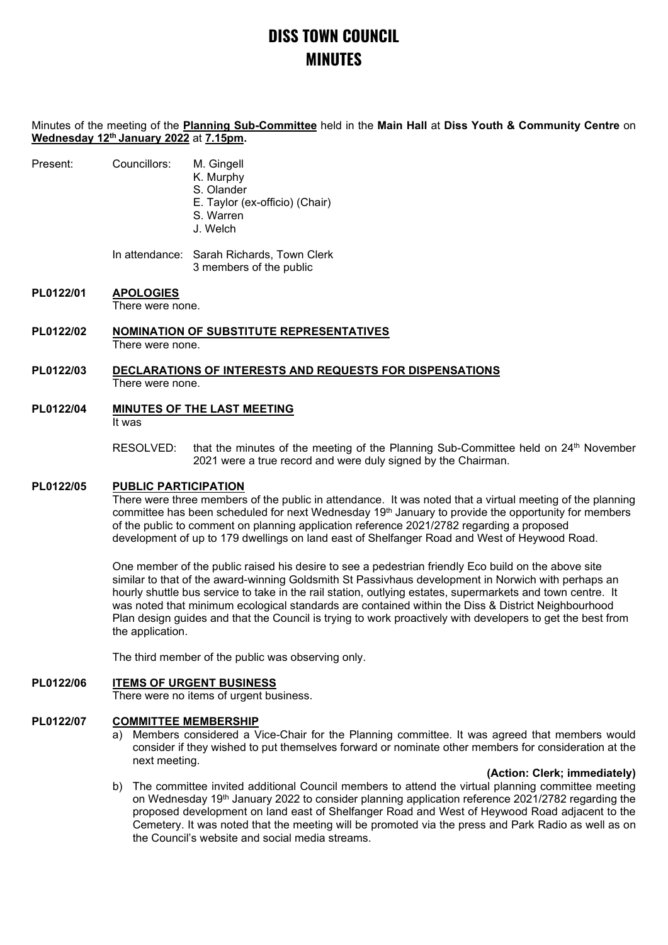# **DISS TOWN COUNCIL MINUTES**

Minutes of the meeting of the **Planning Sub-Committee** held in the **Main Hall** at **Diss Youth & Community Centre** on **Wednesday 12th January 2022** at **7.15pm.**

| Present: | Councillors: | M. Gingell |
|----------|--------------|------------|
|          |              | K. Murphy  |

S. Olander

- E. Taylor (ex-officio) (Chair)
- S. Warren
- J. Welch

In attendance: Sarah Richards, Town Clerk 3 members of the public

# **PL0122/01 APOLOGIES**

There were none.

**PL0122/02 NOMINATION OF SUBSTITUTE REPRESENTATIVES** There were none.

#### **PL0122/03 DECLARATIONS OF INTERESTS AND REQUESTS FOR DISPENSATIONS** There were none.

- **PL0122/04 MINUTES OF THE LAST MEETING** It was
	- RESOLVED: that the minutes of the meeting of the Planning Sub-Committee held on 24<sup>th</sup> November 2021 were a true record and were duly signed by the Chairman.

## **PL0122/05 PUBLIC PARTICIPATION**

There were three members of the public in attendance. It was noted that a virtual meeting of the planning committee has been scheduled for next Wednesday 19<sup>th</sup> January to provide the opportunity for members of the public to comment on planning application reference 2021/2782 regarding a proposed development of up to 179 dwellings on land east of Shelfanger Road and West of Heywood Road.

One member of the public raised his desire to see a pedestrian friendly Eco build on the above site similar to that of the award-winning Goldsmith St Passivhaus development in Norwich with perhaps an hourly shuttle bus service to take in the rail station, outlying estates, supermarkets and town centre. It was noted that minimum ecological standards are contained within the Diss & District Neighbourhood Plan design guides and that the Council is trying to work proactively with developers to get the best from the application.

The third member of the public was observing only.

## **PL0122/06 ITEMS OF URGENT BUSINESS**

There were no items of urgent business.

### **PL0122/07 COMMITTEE MEMBERSHIP**

a) Members considered a Vice-Chair for the Planning committee. It was agreed that members would consider if they wished to put themselves forward or nominate other members for consideration at the next meeting.

### **(Action: Clerk; immediately)**

b) The committee invited additional Council members to attend the virtual planning committee meeting on Wednesday 19<sup>th</sup> January 2022 to consider planning application reference 2021/2782 regarding the proposed development on land east of Shelfanger Road and West of Heywood Road adjacent to the Cemetery. It was noted that the meeting will be promoted via the press and Park Radio as well as on the Council's website and social media streams.